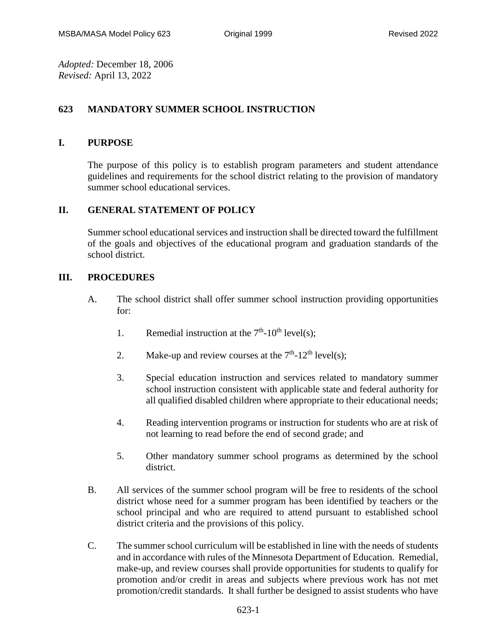*Adopted:* December 18, 2006 *Revised:* April 13, 2022

### **623 MANDATORY SUMMER SCHOOL INSTRUCTION**

#### **I. PURPOSE**

The purpose of this policy is to establish program parameters and student attendance guidelines and requirements for the school district relating to the provision of mandatory summer school educational services.

#### **II. GENERAL STATEMENT OF POLICY**

Summer school educational services and instruction shall be directed toward the fulfillment of the goals and objectives of the educational program and graduation standards of the school district.

#### **III. PROCEDURES**

- A. The school district shall offer summer school instruction providing opportunities for:
	- 1. Remedial instruction at the  $7<sup>th</sup>$ -10<sup>th</sup> level(s);
	- 2. Make-up and review courses at the  $7<sup>th</sup>$ -12<sup>th</sup> level(s);
	- 3. Special education instruction and services related to mandatory summer school instruction consistent with applicable state and federal authority for all qualified disabled children where appropriate to their educational needs;
	- 4. Reading intervention programs or instruction for students who are at risk of not learning to read before the end of second grade; and
	- 5. Other mandatory summer school programs as determined by the school district.
- B. All services of the summer school program will be free to residents of the school district whose need for a summer program has been identified by teachers or the school principal and who are required to attend pursuant to established school district criteria and the provisions of this policy.
- C. The summer school curriculum will be established in line with the needs of students and in accordance with rules of the Minnesota Department of Education. Remedial, make-up, and review courses shall provide opportunities for students to qualify for promotion and/or credit in areas and subjects where previous work has not met promotion/credit standards. It shall further be designed to assist students who have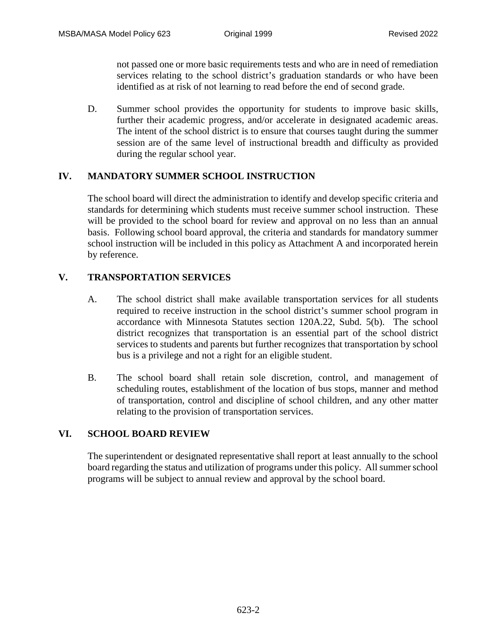not passed one or more basic requirements tests and who are in need of remediation services relating to the school district's graduation standards or who have been identified as at risk of not learning to read before the end of second grade.

D. Summer school provides the opportunity for students to improve basic skills, further their academic progress, and/or accelerate in designated academic areas. The intent of the school district is to ensure that courses taught during the summer session are of the same level of instructional breadth and difficulty as provided during the regular school year.

## **IV. MANDATORY SUMMER SCHOOL INSTRUCTION**

The school board will direct the administration to identify and develop specific criteria and standards for determining which students must receive summer school instruction. These will be provided to the school board for review and approval on no less than an annual basis. Following school board approval, the criteria and standards for mandatory summer school instruction will be included in this policy as Attachment A and incorporated herein by reference.

# **V. TRANSPORTATION SERVICES**

- A. The school district shall make available transportation services for all students required to receive instruction in the school district's summer school program in accordance with Minnesota Statutes section 120A.22, Subd. 5(b). The school district recognizes that transportation is an essential part of the school district services to students and parents but further recognizes that transportation by school bus is a privilege and not a right for an eligible student.
- B. The school board shall retain sole discretion, control, and management of scheduling routes, establishment of the location of bus stops, manner and method of transportation, control and discipline of school children, and any other matter relating to the provision of transportation services.

## **VI. SCHOOL BOARD REVIEW**

The superintendent or designated representative shall report at least annually to the school board regarding the status and utilization of programs under this policy. All summer school programs will be subject to annual review and approval by the school board.